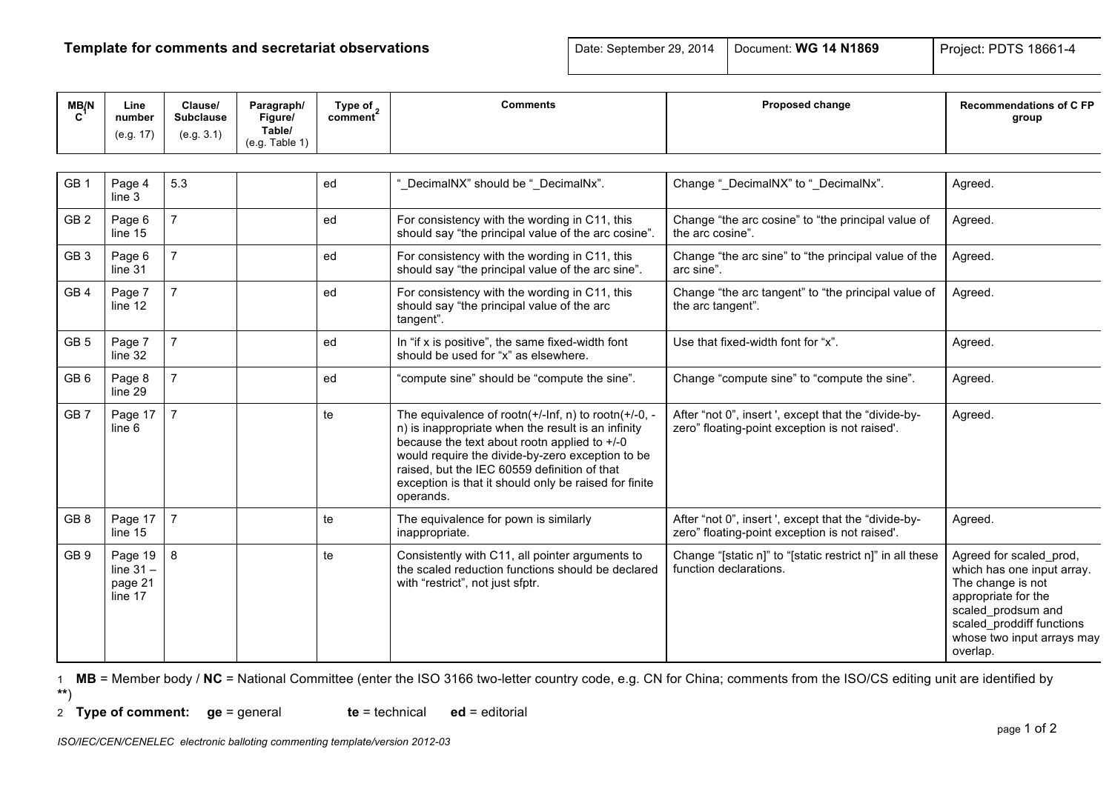## **Template for comments and secretariat observations Date: September 29, 2014** Document: WG 14 N1869 Project: PDTS 18661-4

| MB/N            | Line<br>number<br>(e.g. 17)                  | Clause/<br><b>Subclause</b><br>(e.g. 3.1) | Paragraph/<br>Figure/<br>Table/<br>(e.g. Table 1) | Type of $\frac{1}{2}$<br>comment | <b>Comments</b>                                                                                                                                                                                                                                                                                                                              | Proposed change                                                                                        | <b>Recommendations of C FP</b><br>group                                                                                                                                                        |
|-----------------|----------------------------------------------|-------------------------------------------|---------------------------------------------------|----------------------------------|----------------------------------------------------------------------------------------------------------------------------------------------------------------------------------------------------------------------------------------------------------------------------------------------------------------------------------------------|--------------------------------------------------------------------------------------------------------|------------------------------------------------------------------------------------------------------------------------------------------------------------------------------------------------|
|                 |                                              |                                           |                                                   |                                  |                                                                                                                                                                                                                                                                                                                                              |                                                                                                        |                                                                                                                                                                                                |
| GB <sub>1</sub> | Page 4<br>line <sub>3</sub>                  | 5.3                                       |                                                   | ed                               | "_DecimalNX" should be "_DecimalNx".                                                                                                                                                                                                                                                                                                         | Change " DecimalNX" to " DecimalNx".                                                                   | Agreed.                                                                                                                                                                                        |
| GB <sub>2</sub> | Page 6<br>line $15$                          | $\overline{7}$                            |                                                   | ed                               | For consistency with the wording in C11, this<br>should say "the principal value of the arc cosine".                                                                                                                                                                                                                                         | Change "the arc cosine" to "the principal value of<br>the arc cosine".                                 | Agreed.                                                                                                                                                                                        |
| GB <sub>3</sub> | Page 6<br>line 31                            | $\overline{7}$                            |                                                   | ed                               | For consistency with the wording in C11, this<br>should say "the principal value of the arc sine".                                                                                                                                                                                                                                           | Change "the arc sine" to "the principal value of the<br>arc sine".                                     | Agreed.                                                                                                                                                                                        |
| GB <sub>4</sub> | Page 7<br>line 12                            | $\overline{7}$                            |                                                   | ed                               | For consistency with the wording in C11, this<br>should say "the principal value of the arc<br>tangent".                                                                                                                                                                                                                                     | Change "the arc tangent" to "the principal value of<br>the arc tangent".                               | Agreed.                                                                                                                                                                                        |
| GB <sub>5</sub> | Page 7<br>line 32                            | $\overline{7}$                            |                                                   | ed                               | In "if x is positive", the same fixed-width font<br>should be used for "x" as elsewhere.                                                                                                                                                                                                                                                     | Use that fixed-width font for "x".                                                                     | Agreed.                                                                                                                                                                                        |
| GB <sub>6</sub> | Page 8<br>line 29                            | $\overline{7}$                            |                                                   | ed                               | "compute sine" should be "compute the sine".                                                                                                                                                                                                                                                                                                 | Change "compute sine" to "compute the sine".                                                           | Agreed.                                                                                                                                                                                        |
| GB <sub>7</sub> | Page 17<br>line 6                            | $\overline{7}$                            |                                                   | te                               | The equivalence of rootn( $+/-$ Inf, n) to rootn( $+/-0$ , -<br>n) is inappropriate when the result is an infinity<br>because the text about rootn applied to +/-0<br>would require the divide-by-zero exception to be<br>raised, but the IEC 60559 definition of that<br>exception is that it should only be raised for finite<br>operands. | After "not 0", insert ', except that the "divide-by-<br>zero" floating-point exception is not raised'. | Agreed.                                                                                                                                                                                        |
| GB <sub>8</sub> | Page 17<br>line 15                           | $\overline{7}$                            |                                                   | te                               | The equivalence for pown is similarly<br>inappropriate.                                                                                                                                                                                                                                                                                      | After "not 0", insert ', except that the "divide-by-<br>zero" floating-point exception is not raised'. | Agreed.                                                                                                                                                                                        |
| GB <sub>9</sub> | Page 19<br>line $31 -$<br>page 21<br>line 17 | 8                                         |                                                   | te                               | Consistently with C11, all pointer arguments to<br>the scaled reduction functions should be declared<br>with "restrict", not just sfptr.                                                                                                                                                                                                     | Change "[static n]" to "[static restrict n]" in all these<br>function declarations.                    | Agreed for scaled_prod,<br>which has one input array.<br>The change is not<br>appropriate for the<br>scaled_prodsum and<br>scaled proddiff functions<br>whose two input arrays may<br>overlap. |

1 **MB** = Member body / **NC** = National Committee (enter the ISO 3166 two-letter country code, e.g. CN for China; comments from the ISO/CS editing unit are identified by

**\*\***)

2 **Type of comment: ge** = general **te** = technical **ed** = editorial